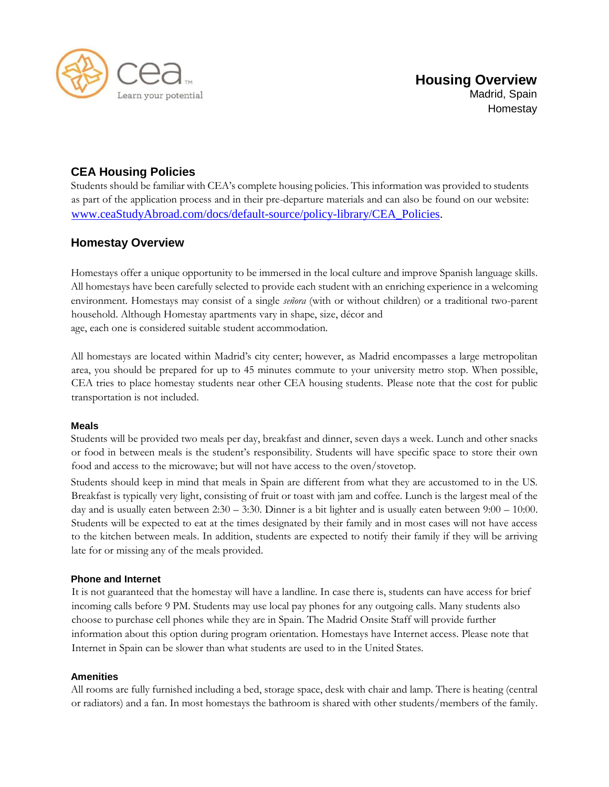

# **CEA Housing Policies**

Students should be familiar with CEA's complete housing policies. This information was provided to students as part of the application process and in their pre-departure materials and can also be found on our website[:](http://www.ceastudyabroad.com/docs/default-source/policy-library/CEA_Policies) [www.ceaStudyAbroad.com/docs/default-source/policy-library/CEA\\_Policies.](http://www.ceastudyabroad.com/docs/default-source/policy-library/CEA_Policies)

## **Homestay Overview**

Homestays offer a unique opportunity to be immersed in the local culture and improve Spanish language skills. All homestays have been carefully selected to provide each student with an enriching experience in a welcoming environment. Homestays may consist of a single *señora* (with or without children) or a traditional two-parent household. Although Homestay apartments vary in shape, size, décor and age, each one is considered suitable student accommodation.

All homestays are located within Madrid's city center; however, as Madrid encompasses a large metropolitan area, you should be prepared for up to 45 minutes commute to your university metro stop. When possible, CEA tries to place homestay students near other CEA housing students. Please note that the cost for public transportation is not included.

## **Meals**

Students will be provided two meals per day, breakfast and dinner, seven days a week. Lunch and other snacks or food in between meals is the student's responsibility. Students will have specific space to store their own food and access to the microwave; but will not have access to the oven/stovetop.

Students should keep in mind that meals in Spain are different from what they are accustomed to in the US. Breakfast is typically very light, consisting of fruit or toast with jam and coffee. Lunch is the largest meal of the day and is usually eaten between 2:30 – 3:30. Dinner is a bit lighter and is usually eaten between 9:00 – 10:00. Students will be expected to eat at the times designated by their family and in most cases will not have access to the kitchen between meals. In addition, students are expected to notify their family if they will be arriving late for or missing any of the meals provided.

## **Phone and Internet**

It is not guaranteed that the homestay will have a landline. In case there is, students can have access for brief incoming calls before 9 PM. Students may use local pay phones for any outgoing calls. Many students also choose to purchase cell phones while they are in Spain. The Madrid Onsite Staff will provide further information about this option during program orientation. Homestays have Internet access. Please note that Internet in Spain can be slower than what students are used to in the United States.

## **Amenities**

All rooms are fully furnished including a bed, storage space, desk with chair and lamp. There is heating (central or radiators) and a fan. In most homestays the bathroom is shared with other students/members of the family.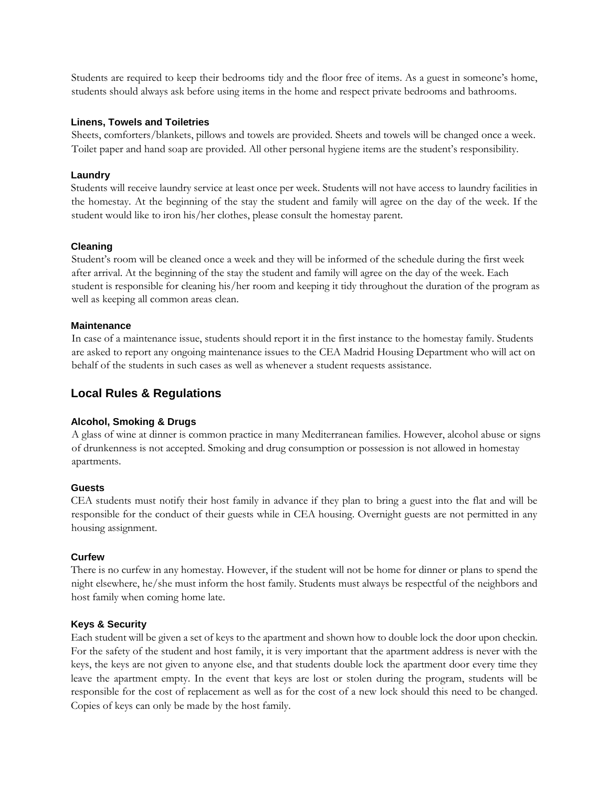Students are required to keep their bedrooms tidy and the floor free of items. As a guest in someone's home, students should always ask before using items in the home and respect private bedrooms and bathrooms.

#### **Linens, Towels and Toiletries**

Sheets, comforters/blankets, pillows and towels are provided. Sheets and towels will be changed once a week. Toilet paper and hand soap are provided. All other personal hygiene items are the student's responsibility.

#### **Laundry**

Students will receive laundry service at least once per week. Students will not have access to laundry facilities in the homestay. At the beginning of the stay the student and family will agree on the day of the week. If the student would like to iron his/her clothes, please consult the homestay parent.

#### **Cleaning**

Student's room will be cleaned once a week and they will be informed of the schedule during the first week after arrival. At the beginning of the stay the student and family will agree on the day of the week. Each student is responsible for cleaning his/her room and keeping it tidy throughout the duration of the program as well as keeping all common areas clean.

#### **Maintenance**

In case of a maintenance issue, students should report it in the first instance to the homestay family. Students are asked to report any ongoing maintenance issues to the CEA Madrid Housing Department who will act on behalf of the students in such cases as well as whenever a student requests assistance.

## **Local Rules & Regulations**

## **Alcohol, Smoking & Drugs**

A glass of wine at dinner is common practice in many Mediterranean families. However, alcohol abuse or signs of drunkenness is not accepted. Smoking and drug consumption or possession is not allowed in homestay apartments.

#### **Guests**

CEA students must notify their host family in advance if they plan to bring a guest into the flat and will be responsible for the conduct of their guests while in CEA housing. Overnight guests are not permitted in any housing assignment.

## **Curfew**

There is no curfew in any homestay. However, if the student will not be home for dinner or plans to spend the night elsewhere, he/she must inform the host family. Students must always be respectful of the neighbors and host family when coming home late.

#### **Keys & Security**

Each student will be given a set of keys to the apartment and shown how to double lock the door upon checkin. For the safety of the student and host family, it is very important that the apartment address is never with the keys, the keys are not given to anyone else, and that students double lock the apartment door every time they leave the apartment empty. In the event that keys are lost or stolen during the program, students will be responsible for the cost of replacement as well as for the cost of a new lock should this need to be changed. Copies of keys can only be made by the host family.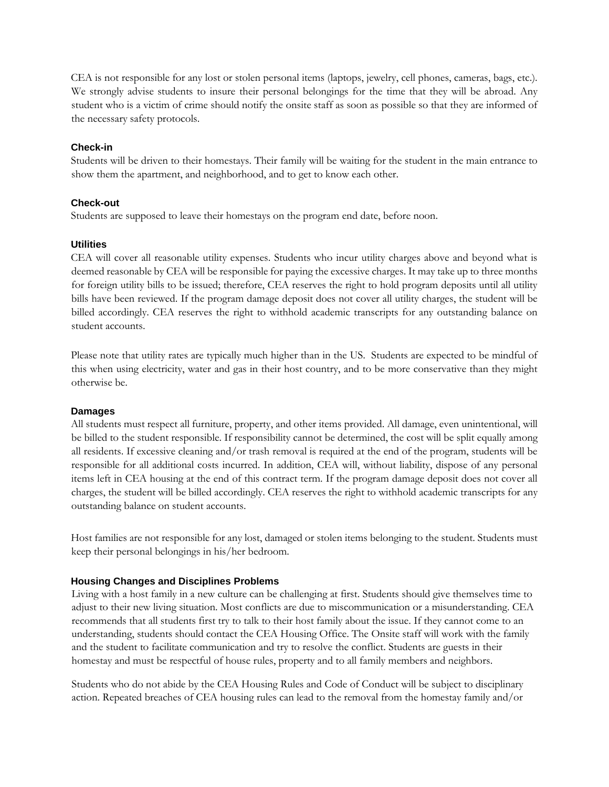CEA is not responsible for any lost or stolen personal items (laptops, jewelry, cell phones, cameras, bags, etc.). We strongly advise students to insure their personal belongings for the time that they will be abroad. Any student who is a victim of crime should notify the onsite staff as soon as possible so that they are informed of the necessary safety protocols.

## **Check-in**

Students will be driven to their homestays. Their family will be waiting for the student in the main entrance to show them the apartment, and neighborhood, and to get to know each other.

## **Check-out**

Students are supposed to leave their homestays on the program end date, before noon.

## **Utilities**

CEA will cover all reasonable utility expenses. Students who incur utility charges above and beyond what is deemed reasonable by CEA will be responsible for paying the excessive charges. It may take up to three months for foreign utility bills to be issued; therefore, CEA reserves the right to hold program deposits until all utility bills have been reviewed. If the program damage deposit does not cover all utility charges, the student will be billed accordingly. CEA reserves the right to withhold academic transcripts for any outstanding balance on student accounts.

Please note that utility rates are typically much higher than in the US. Students are expected to be mindful of this when using electricity, water and gas in their host country, and to be more conservative than they might otherwise be.

## **Damages**

All students must respect all furniture, property, and other items provided. All damage, even unintentional, will be billed to the student responsible. If responsibility cannot be determined, the cost will be split equally among all residents. If excessive cleaning and/or trash removal is required at the end of the program, students will be responsible for all additional costs incurred. In addition, CEA will, without liability, dispose of any personal items left in CEA housing at the end of this contract term. If the program damage deposit does not cover all charges, the student will be billed accordingly. CEA reserves the right to withhold academic transcripts for any outstanding balance on student accounts.

Host families are not responsible for any lost, damaged or stolen items belonging to the student. Students must keep their personal belongings in his/her bedroom.

## **Housing Changes and Disciplines Problems**

Living with a host family in a new culture can be challenging at first. Students should give themselves time to adjust to their new living situation. Most conflicts are due to miscommunication or a misunderstanding. CEA recommends that all students first try to talk to their host family about the issue. If they cannot come to an understanding, students should contact the CEA Housing Office. The Onsite staff will work with the family and the student to facilitate communication and try to resolve the conflict. Students are guests in their homestay and must be respectful of house rules, property and to all family members and neighbors.

Students who do not abide by the CEA Housing Rules and Code of Conduct will be subject to disciplinary action. Repeated breaches of CEA housing rules can lead to the removal from the homestay family and/or